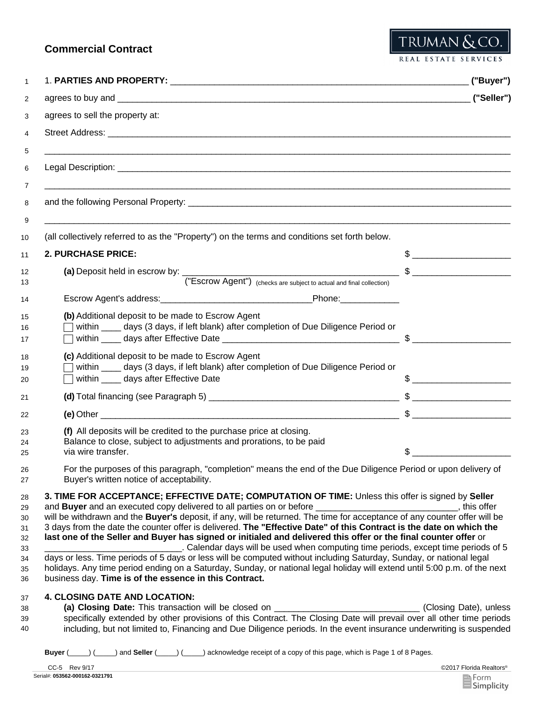# **Commercial Contract**

REAL ESTATE SERVICES

TRUMAN & CO.

|                                                                                                                                                                                                                                                                                                                                                                                                                                                                                                                                                                                                                                                                                                                                                  | ("Buyer")                                                                                                                                                                                                                                                                                                           |
|--------------------------------------------------------------------------------------------------------------------------------------------------------------------------------------------------------------------------------------------------------------------------------------------------------------------------------------------------------------------------------------------------------------------------------------------------------------------------------------------------------------------------------------------------------------------------------------------------------------------------------------------------------------------------------------------------------------------------------------------------|---------------------------------------------------------------------------------------------------------------------------------------------------------------------------------------------------------------------------------------------------------------------------------------------------------------------|
|                                                                                                                                                                                                                                                                                                                                                                                                                                                                                                                                                                                                                                                                                                                                                  | $($ "Seller")                                                                                                                                                                                                                                                                                                       |
| agrees to sell the property at:                                                                                                                                                                                                                                                                                                                                                                                                                                                                                                                                                                                                                                                                                                                  |                                                                                                                                                                                                                                                                                                                     |
|                                                                                                                                                                                                                                                                                                                                                                                                                                                                                                                                                                                                                                                                                                                                                  |                                                                                                                                                                                                                                                                                                                     |
|                                                                                                                                                                                                                                                                                                                                                                                                                                                                                                                                                                                                                                                                                                                                                  |                                                                                                                                                                                                                                                                                                                     |
| and the following Personal Property: example and the following personal property:                                                                                                                                                                                                                                                                                                                                                                                                                                                                                                                                                                                                                                                                |                                                                                                                                                                                                                                                                                                                     |
| (all collectively referred to as the "Property") on the terms and conditions set forth below.                                                                                                                                                                                                                                                                                                                                                                                                                                                                                                                                                                                                                                                    |                                                                                                                                                                                                                                                                                                                     |
| <b>2. PURCHASE PRICE:</b>                                                                                                                                                                                                                                                                                                                                                                                                                                                                                                                                                                                                                                                                                                                        |                                                                                                                                                                                                                                                                                                                     |
|                                                                                                                                                                                                                                                                                                                                                                                                                                                                                                                                                                                                                                                                                                                                                  |                                                                                                                                                                                                                                                                                                                     |
| ("Escrow Agent") (checks are subject to actual and final collection)                                                                                                                                                                                                                                                                                                                                                                                                                                                                                                                                                                                                                                                                             |                                                                                                                                                                                                                                                                                                                     |
| Escrow Agent's address: Notified the Control of Phone: Note: Note: Note: Note: Note: Note: Note: Note: Note: Note: Note: Note: Note: Note: Note: Note: Note: Note: Note: Note: Note: Note: Note: Note: Note: Note: Note: Note:                                                                                                                                                                                                                                                                                                                                                                                                                                                                                                                   |                                                                                                                                                                                                                                                                                                                     |
| (b) Additional deposit to be made to Escrow Agent<br>within _____ days (3 days, if left blank) after completion of Due Diligence Period or                                                                                                                                                                                                                                                                                                                                                                                                                                                                                                                                                                                                       |                                                                                                                                                                                                                                                                                                                     |
| (c) Additional deposit to be made to Escrow Agent<br>within ____ days (3 days, if left blank) after completion of Due Diligence Period or                                                                                                                                                                                                                                                                                                                                                                                                                                                                                                                                                                                                        |                                                                                                                                                                                                                                                                                                                     |
| within _____ days after Effective Date                                                                                                                                                                                                                                                                                                                                                                                                                                                                                                                                                                                                                                                                                                           | $\frac{1}{2}$ $\frac{1}{2}$ $\frac{1}{2}$ $\frac{1}{2}$ $\frac{1}{2}$ $\frac{1}{2}$ $\frac{1}{2}$ $\frac{1}{2}$ $\frac{1}{2}$ $\frac{1}{2}$ $\frac{1}{2}$ $\frac{1}{2}$ $\frac{1}{2}$ $\frac{1}{2}$ $\frac{1}{2}$ $\frac{1}{2}$ $\frac{1}{2}$ $\frac{1}{2}$ $\frac{1}{2}$ $\frac{1}{2}$ $\frac{1}{2}$ $\frac{1}{2}$ |
|                                                                                                                                                                                                                                                                                                                                                                                                                                                                                                                                                                                                                                                                                                                                                  |                                                                                                                                                                                                                                                                                                                     |
|                                                                                                                                                                                                                                                                                                                                                                                                                                                                                                                                                                                                                                                                                                                                                  | $\texttt{\$}$                                                                                                                                                                                                                                                                                                       |
| (f) All deposits will be credited to the purchase price at closing.<br>Balance to close, subject to adjustments and prorations, to be paid<br>via wire transfer.                                                                                                                                                                                                                                                                                                                                                                                                                                                                                                                                                                                 |                                                                                                                                                                                                                                                                                                                     |
| For the purposes of this paragraph, "completion" means the end of the Due Diligence Period or upon delivery of<br>Buyer's written notice of acceptability.                                                                                                                                                                                                                                                                                                                                                                                                                                                                                                                                                                                       |                                                                                                                                                                                                                                                                                                                     |
| 3. TIME FOR ACCEPTANCE; EFFECTIVE DATE; COMPUTATION OF TIME: Unless this offer is signed by Seller<br>3 days from the date the counter offer is delivered. The "Effective Date" of this Contract is the date on which the<br>last one of the Seller and Buyer has signed or initialed and delivered this offer or the final counter offer or<br>. Calendar days will be used when computing time periods, except time periods of 5<br>days or less. Time periods of 5 days or less will be computed without including Saturday, Sunday, or national legal<br>holidays. Any time period ending on a Saturday, Sunday, or national legal holiday will extend until 5:00 p.m. of the next<br>business day. Time is of the essence in this Contract. |                                                                                                                                                                                                                                                                                                                     |
| <b>4. CLOSING DATE AND LOCATION:</b><br>(a) Closing Date: This transaction will be closed on _____________________________(Closing Date), unless<br>specifically extended by other provisions of this Contract. The Closing Date will prevail over all other time periods                                                                                                                                                                                                                                                                                                                                                                                                                                                                        |                                                                                                                                                                                                                                                                                                                     |
| including, but not limited to, Financing and Due Diligence periods. In the event insurance underwriting is suspended<br>_) and Seller (____) (____) acknowledge receipt of a copy of this page, which is Page 1 of 8 Pages.<br>Buyer (                                                                                                                                                                                                                                                                                                                                                                                                                                                                                                           |                                                                                                                                                                                                                                                                                                                     |

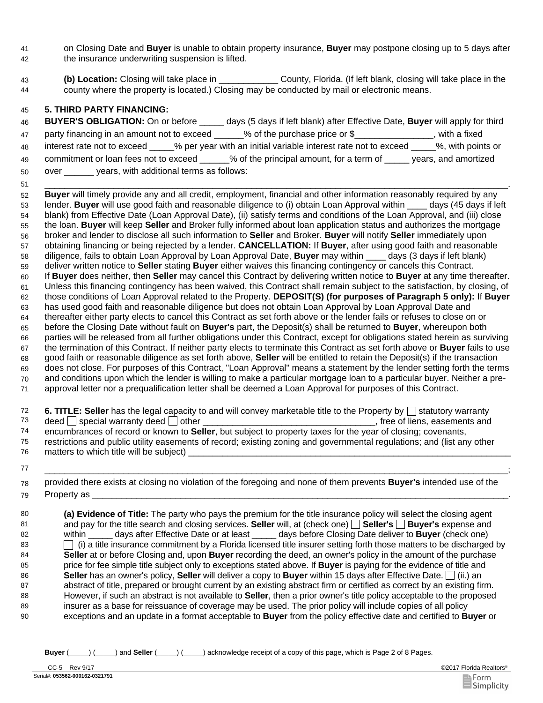- on Closing Date and **Buyer** is unable to obtain property insurance, **Buyer** may postpone closing up to 5 days after the insurance underwriting suspension is lifted. 41 42
- **(b) Location:** Closing will take place in \_\_\_\_\_\_\_\_\_\_\_\_ County, Florida. (If left blank, closing will take place in the county where the property is located.) Closing may be conducted by mail or electronic means. 43 44

### 45 **5. THIRD PARTY FINANCING:**

51

| 46 | <b>BUYER'S OBLIGATION: On or before</b><br>days (5 days if left blank) after Effective Date, Buyer will apply for third |
|----|-------------------------------------------------------------------------------------------------------------------------|
| 47 | % of the purchase price or \$<br>party financing in an amount not to exceed<br>. with a fixed                           |
| 48 | %, with points or<br>% per year with an initial variable interest rate not to exceed<br>interest rate not to exceed     |
| 49 | % of the principal amount, for a term of<br>commitment or loan fees not to exceed<br>years, and amortized               |
| 50 | years, with additional terms as follows:<br>over                                                                        |

\_\_\_\_\_\_\_\_\_\_\_\_\_\_\_\_\_\_\_\_\_\_\_\_\_\_\_\_\_\_\_\_\_\_\_\_\_\_\_\_\_\_\_\_\_\_\_\_\_\_\_\_\_\_\_\_\_\_\_\_\_\_\_\_\_\_\_\_\_\_\_\_\_\_\_\_\_\_\_\_\_\_\_\_\_\_\_\_\_\_\_\_\_\_. **Buyer** will timely provide any and all credit, employment, financial and other information reasonably required by any lender. **Buyer** will use good faith and reasonable diligence to (i) obtain Loan Approval within \_\_\_\_ days (45 days if left blank) from Effective Date (Loan Approval Date), (ii) satisfy terms and conditions of the Loan Approval, and (iii) close the loan. **Buyer** will keep **Seller** and Broker fully informed about loan application status and authorizes the mortgage broker and lender to disclose all such information to **Seller** and Broker. **Buyer** will notify **Seller** immediately upon obtaining financing or being rejected by a lender. **CANCELLATION:** If **Buyer**, after using good faith and reasonable diligence, fails to obtain Loan Approval by Loan Approval Date, **Buyer** may within \_\_\_\_ days (3 days if left blank) deliver written notice to **Seller** stating **Buyer** either waives this financing contingency or cancels this Contract. If **Buyer** does neither, then **Seller** may cancel this Contract by delivering written notice to **Buyer** at any time thereafter. Unless this financing contingency has been waived, this Contract shall remain subject to the satisfaction, by closing, of those conditions of Loan Approval related to the Property. **DEPOSIT(S) (for purposes of Paragraph 5 only):** If **Buyer** has used good faith and reasonable diligence but does not obtain Loan Approval by Loan Approval Date and thereafter either party elects to cancel this Contract as set forth above or the lender fails or refuses to close on or before the Closing Date without fault on **Buyer's** part, the Deposit(s) shall be returned to **Buyer**, whereupon both parties will be released from all further obligations under this Contract, except for obligations stated herein as surviving the termination of this Contract. If neither party elects to terminate this Contract as set forth above or **Buyer** fails to use good faith or reasonable diligence as set forth above, **Seller** will be entitled to retain the Deposit(s) if the transaction does not close. For purposes of this Contract, "Loan Approval" means a statement by the lender setting forth the terms and conditions upon which the lender is willing to make a particular mortgage loan to a particular buyer. Neither a preapproval letter nor a prequalification letter shall be deemed a Loan Approval for purposes of this Contract. 52 53 54 55 56 57 58 59 60 61 62 63 64 65 66 67 68 69 70 71

|    | 6. TITLE: Seller has the legal capacity to and will convey marketable title to the Property by $\Box$ statutory warranty |
|----|--------------------------------------------------------------------------------------------------------------------------|
| 73 | $\theta$ deed special warranty deed $\theta$ other<br>free of liens, easements and                                       |
| 74 | encumbrances of record or known to Seller, but subject to property taxes for the year of closing; covenants,             |
| 75 | restrictions and public utility easements of record; existing zoning and governmental regulations; and (list any other   |
| 76 | matters to which title will be subject)                                                                                  |

77 \_\_\_\_\_\_\_\_\_\_\_\_\_\_\_\_\_\_\_\_\_\_\_\_\_\_\_\_\_\_\_\_\_\_\_\_\_\_\_\_\_\_\_\_\_\_\_\_\_\_\_\_\_\_\_\_\_\_\_\_\_\_\_\_\_\_\_\_\_\_\_\_\_\_\_\_\_\_\_\_\_\_\_\_\_\_\_\_\_\_\_\_\_\_; provided there exists at closing no violation of the foregoing and none of them prevents **Buyer's** intended use of the Property as \_\_\_\_\_\_\_\_\_\_\_\_\_\_\_\_\_\_\_\_\_\_\_\_\_\_\_\_\_\_\_\_\_\_\_\_\_\_\_\_\_\_\_\_\_\_\_\_\_\_\_\_\_\_\_\_\_\_\_\_\_\_\_\_\_\_\_\_\_\_\_\_\_\_\_\_\_\_\_\_\_\_\_\_\_. 78 79

80 **(a) Evidence of Title:** The party who pays the premium for the title insurance policy will select the closing agent and pay for the title search and closing services. **Seller** will, at (check one) **Seller's Buyer's** expense and within \_\_\_\_\_ days after Effective Date or at least \_\_\_\_\_ days before Closing Date deliver to **Buyer** (check one)  $\Box$  (i) a title insurance commitment by a Florida licensed title insurer setting forth those matters to be discharged by **Seller** at or before Closing and, upon **Buyer** recording the deed, an owner's policy in the amount of the purchase price for fee simple title subject only to exceptions stated above. If **Buyer** is paying for the evidence of title and **Seller** has an owner's policy, **Seller** will deliver a copy to **Buyer** within 15 days after Effective Date. (ii.) an abstract of title, prepared or brought current by an existing abstract firm or certified as correct by an existing firm. However, if such an abstract is not available to **Seller**, then a prior owner's title policy acceptable to the proposed insurer as a base for reissuance of coverage may be used. The prior policy will include copies of all policy exceptions and an update in a format acceptable to **Buyer** from the policy effective date and certified to **Buyer** or 81 82 83 84 85 86 87 88 89 90

**Buyer** (\_\_\_\_\_) (\_\_\_\_\_) and **Seller** (\_\_\_\_\_) (\_\_\_\_\_) acknowledge receipt of a copy of this page, which is Page 2 of 8 Pages.

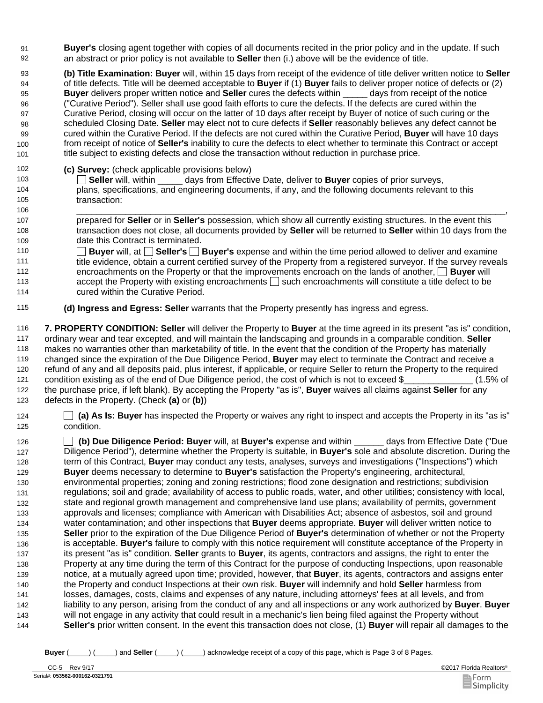- **Buyer's** closing agent together with copies of all documents recited in the prior policy and in the update. If such 92 an abstract or prior policy is not available to **Seller** then (i.) above will be the evidence of title. 91
- 93 **(b) Title Examination: Buyer** will, within 15 days from receipt of the evidence of title deliver written notice to **Seller** of title defects. Title will be deemed acceptable to **Buyer** if (1) **Buyer** fails to deliver proper notice of defects or (2) **Buyer** delivers proper written notice and **Seller** cures the defects within \_\_\_\_\_ days from receipt of the notice ("Curative Period"). Seller shall use good faith efforts to cure the defects. If the defects are cured within the Curative Period, closing will occur on the latter of 10 days after receipt by Buyer of notice of such curing or the scheduled Closing Date. **Seller** may elect not to cure defects if **Seller** reasonably believes any defect cannot be cured within the Curative Period. If the defects are not cured within the Curative Period, **Buyer** will have 10 days from receipt of notice of **Seller's** inability to cure the defects to elect whether to terminate this Contract or accept title subject to existing defects and close the transaction without reduction in purchase price. 94 95 96 97 98 99 100 101
- 102 **(c) Survey:** (check applicable provisions below)<br>103 **103** Soller will within days from Effective
- 103 **Seller** will, within \_\_\_\_\_ days from Effective Date, deliver to **Buyer** copies of prior surveys, plans, specifications, and engineering documents, if any, and the following documents relevant to this transaction: 104 105
- 106 \_\_\_\_\_\_\_\_\_\_\_\_\_\_\_\_\_\_\_\_\_\_\_\_\_\_\_\_\_\_\_\_\_\_\_\_\_\_\_\_\_\_\_\_\_\_\_\_\_\_\_\_\_\_\_\_\_\_\_\_\_\_\_\_\_\_\_\_\_\_\_\_\_\_\_\_\_\_\_\_\_\_\_\_\_\_\_, prepared for **Seller** or in **Seller's** possession, which show all currently existing structures. In the event this transaction does not close, all documents provided by **Seller** will be returned to **Seller** within 10 days from the date this Contract is terminated. 107 108 109
- 110 **Buyer** will, at **Seller's Buyer's** expense and within the time period allowed to deliver and examine title evidence, obtain a current certified survey of the Property from a registered surveyor. If the survey reveals encroachments on the Property or that the improvements encroach on the lands of another, **Buyer** will accept the Property with existing encroachments  $\square$  such encroachments will constitute a title defect to be cured within the Curative Period. 111 112 113 114
- 115 **(d) Ingress and Egress: Seller** warrants that the Property presently has ingress and egress.

116 **7. PROPERTY CONDITION: Seller** will deliver the Property to **Buyer** at the time agreed in its present "as is" condition, ordinary wear and tear excepted, and will maintain the landscaping and grounds in a comparable condition. **Seller** makes no warranties other than marketability of title. In the event that the condition of the Property has materially changed since the expiration of the Due Diligence Period, **Buyer** may elect to terminate the Contract and receive a refund of any and all deposits paid, plus interest, if applicable, or require Seller to return the Property to the required condition existing as of the end of Due Diligence period, the cost of which is not to exceed \$  $(1.5\%$  of the purchase price, if left blank). By accepting the Property "as is", **Buyer** waives all claims against **Seller** for any defects in the Property. (Check **(a)** or **(b)**) 117 118 119 120 121 122 123

124 **(a) As Is: Buyer** has inspected the Property or waives any right to inspect and accepts the Property in its "as is" 125 condition.

126 **(b) Due Diligence Period: Buyer** will, at **Buyer's** expense and within \_\_\_\_\_\_ days from Effective Date ("Due Diligence Period"), determine whether the Property is suitable, in **Buyer's** sole and absolute discretion. During the term of this Contract, **Buyer** may conduct any tests, analyses, surveys and investigations ("Inspections") which **Buyer** deems necessary to determine to **Buyer's** satisfaction the Property's engineering, architectural, environmental properties; zoning and zoning restrictions; flood zone designation and restrictions; subdivision regulations; soil and grade; availability of access to public roads, water, and other utilities; consistency with local, state and regional growth management and comprehensive land use plans; availability of permits, government approvals and licenses; compliance with American with Disabilities Act; absence of asbestos, soil and ground water contamination; and other inspections that **Buyer** deems appropriate. **Buyer** will deliver written notice to **Seller** prior to the expiration of the Due Diligence Period of **Buyer's** determination of whether or not the Property is acceptable. **Buyer's** failure to comply with this notice requirement will constitute acceptance of the Property in its present "as is" condition. **Seller** grants to **Buyer**, its agents, contractors and assigns, the right to enter the Property at any time during the term of this Contract for the purpose of conducting Inspections, upon reasonable notice, at a mutually agreed upon time; provided, however, that **Buyer**, its agents, contractors and assigns enter the Property and conduct Inspections at their own risk. **Buyer** will indemnify and hold **Seller** harmless from losses, damages, costs, claims and expenses of any nature, including attorneys' fees at all levels, and from liability to any person, arising from the conduct of any and all inspections or any work authorized by **Buyer**. **Buyer** will not engage in any activity that could result in a mechanic's lien being filed against the Property without **Seller's** prior written consent. In the event this transaction does not close, (1) **Buyer** will repair all damages to the 127 128 129 130 131 132 133 134 135 136 137 138 139 140 141 142 143 144

**Buyer** (\_\_\_\_\_) (\_\_\_\_\_) and **Seller** (\_\_\_\_\_) (\_\_\_\_\_) acknowledge receipt of a copy of this page, which is Page 3 of 8 Pages.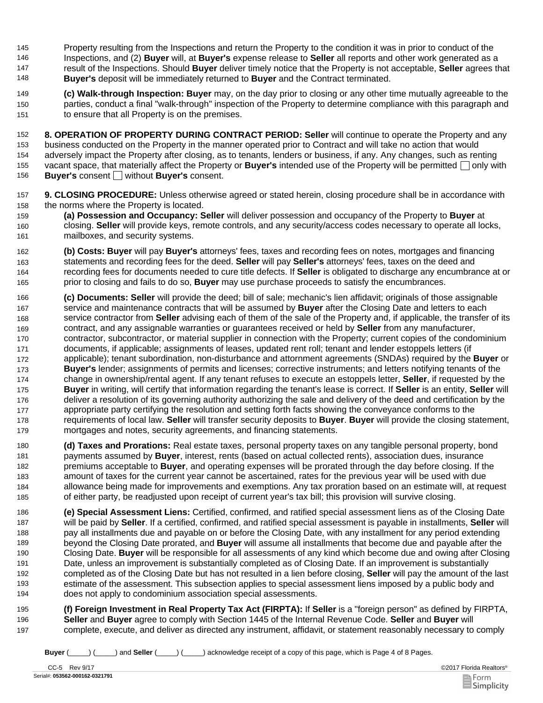Property resulting from the Inspections and return the Property to the condition it was in prior to conduct of the Inspections, and (2) **Buyer** will, at **Buyer's** expense release to **Seller** all reports and other work generated as a result of the Inspections. Should **Buyer** deliver timely notice that the Property is not acceptable, **Seller** agrees that **Buyer's** deposit will be immediately returned to **Buyer** and the Contract terminated. 146 147 148 145

149 **(c) Walk-through Inspection: Buyer** may, on the day prior to closing or any other time mutually agreeable to the parties, conduct a final "walk-through" inspection of the Property to determine compliance with this paragraph and to ensure that all Property is on the premises. 150 151

152 **8. OPERATION OF PROPERTY DURING CONTRACT PERIOD: Seller** will continue to operate the Property and any business conducted on the Property in the manner operated prior to Contract and will take no action that would adversely impact the Property after closing, as to tenants, lenders or business, if any. Any changes, such as renting vacant space, that materially affect the Property or **Buyer's** intended use of the Property will be permitted  $\Box$  only with **Buyer's** consent **□** without **Buyer's** consent. 153 154 155 156

- 157 **9. CLOSING PROCEDURE:** Unless otherwise agreed or stated herein, closing procedure shall be in accordance with 158 the norms where the Property is located.
- 159 **(a) Possession and Occupancy: Seller** will deliver possession and occupancy of the Property to **Buyer** at closing. **Seller** will provide keys, remote controls, and any security/access codes necessary to operate all locks, mailboxes, and security systems. 160 161
- 162 **(b) Costs: Buyer** will pay **Buyer's** attorneys' fees, taxes and recording fees on notes, mortgages and financing statements and recording fees for the deed. **Seller** will pay **Seller's** attorneys' fees, taxes on the deed and recording fees for documents needed to cure title defects. If **Seller** is obligated to discharge any encumbrance at or prior to closing and fails to do so, **Buyer** may use purchase proceeds to satisfy the encumbrances. 163 164 165
- 166 **(c) Documents: Seller** will provide the deed; bill of sale; mechanic's lien affidavit; originals of those assignable service and maintenance contracts that will be assumed by **Buyer** after the Closing Date and letters to each service contractor from **Seller** advising each of them of the sale of the Property and, if applicable, the transfer of its contract, and any assignable warranties or guarantees received or held by **Seller** from any manufacturer, contractor, subcontractor, or material supplier in connection with the Property; current copies of the condominium documents, if applicable; assignments of leases, updated rent roll; tenant and lender estoppels letters (if applicable); tenant subordination, non-disturbance and attornment agreements (SNDAs) required by the **Buyer** or **Buyer's** lender; assignments of permits and licenses; corrective instruments; and letters notifying tenants of the change in ownership/rental agent. If any tenant refuses to execute an estoppels letter, **Seller**, if requested by the **Buyer** in writing, will certify that information regarding the tenant's lease is correct. If **Seller** is an entity, **Seller** will deliver a resolution of its governing authority authorizing the sale and delivery of the deed and certification by the appropriate party certifying the resolution and setting forth facts showing the conveyance conforms to the requirements of local law. **Seller** will transfer security deposits to **Buyer**. **Buyer** will provide the closing statement, mortgages and notes, security agreements, and financing statements. 167 168 169 170 171 172 173 174 175 176 177 178 179
- 180 **(d) Taxes and Prorations:** Real estate taxes, personal property taxes on any tangible personal property, bond payments assumed by **Buyer**, interest, rents (based on actual collected rents), association dues, insurance premiums acceptable to **Buyer**, and operating expenses will be prorated through the day before closing. If the amount of taxes for the current year cannot be ascertained, rates for the previous year will be used with due allowance being made for improvements and exemptions. Any tax proration based on an estimate will, at request of either party, be readjusted upon receipt of current year's tax bill; this provision will survive closing. 181 182 183 184 185
- 186 **(e) Special Assessment Liens:** Certified, confirmed, and ratified special assessment liens as of the Closing Date will be paid by **Seller**. If a certified, confirmed, and ratified special assessment is payable in installments, **Seller** will pay all installments due and payable on or before the Closing Date, with any installment for any period extending beyond the Closing Date prorated, and **Buyer** will assume all installments that become due and payable after the Closing Date. **Buyer** will be responsible for all assessments of any kind which become due and owing after Closing Date, unless an improvement is substantially completed as of Closing Date. If an improvement is substantially completed as of the Closing Date but has not resulted in a lien before closing, **Seller** will pay the amount of the last estimate of the assessment. This subsection applies to special assessment liens imposed by a public body and does not apply to condominium association special assessments. 187 188 189 190 191 192 193 194
- 195 **(f) Foreign Investment in Real Property Tax Act (FIRPTA):** If **Seller** is a "foreign person" as defined by FIRPTA, **Seller** and **Buyer** agree to comply with Section 1445 of the Internal Revenue Code. **Seller** and **Buyer** will complete, execute, and deliver as directed any instrument, affidavit, or statement reasonably necessary to comply 196 197

**Buyer** (\_\_\_\_\_) (\_\_\_\_\_) and **Seller** (\_\_\_\_\_) (\_\_\_\_\_) acknowledge receipt of a copy of this page, which is Page 4 of 8 Pages.

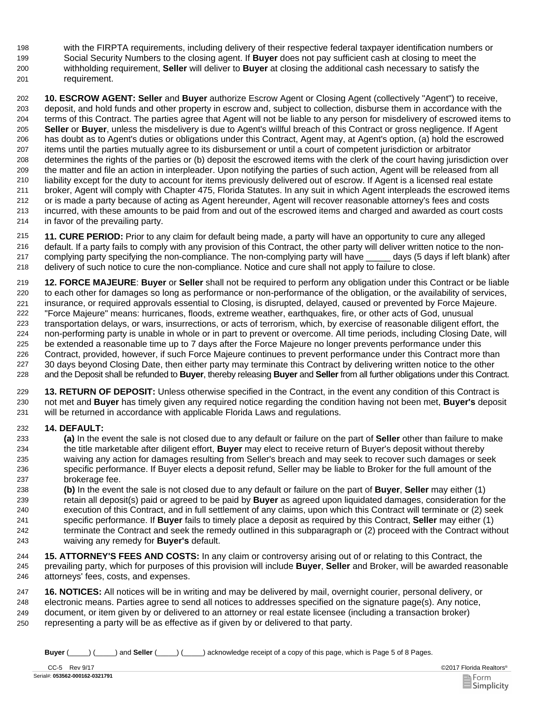- with the FIRPTA requirements, including delivery of their respective federal taxpayer identification numbers or 198
- Social Security Numbers to the closing agent. If **Buyer** does not pay sufficient cash at closing to meet the withholding requirement, **Seller** will deliver to **Buyer** at closing the additional cash necessary to satisfy the 199 200
- requirement. 201

202 **10. ESCROW AGENT: Seller** and **Buyer** authorize Escrow Agent or Closing Agent (collectively "Agent") to receive, deposit, and hold funds and other property in escrow and, subject to collection, disburse them in accordance with the terms of this Contract. The parties agree that Agent will not be liable to any person for misdelivery of escrowed items to **Seller** or **Buyer**, unless the misdelivery is due to Agent's willful breach of this Contract or gross negligence. If Agent has doubt as to Agent's duties or obligations under this Contract, Agent may, at Agent's option, (a) hold the escrowed items until the parties mutually agree to its disbursement or until a court of competent jurisdiction or arbitrator determines the rights of the parties or (b) deposit the escrowed items with the clerk of the court having jurisdiction over the matter and file an action in interpleader. Upon notifying the parties of such action, Agent will be released from all liability except for the duty to account for items previously delivered out of escrow. If Agent is a licensed real estate broker, Agent will comply with Chapter 475, Florida Statutes. In any suit in which Agent interpleads the escrowed items or is made a party because of acting as Agent hereunder, Agent will recover reasonable attorney's fees and costs incurred, with these amounts to be paid from and out of the escrowed items and charged and awarded as court costs in favor of the prevailing party. 203 204 205 206 207 208 209 210 211 212 213 214

215 **11. CURE PERIOD:** Prior to any claim for default being made, a party will have an opportunity to cure any alleged default. If a party fails to comply with any provision of this Contract, the other party will deliver written notice to the noncomplying party specifying the non-compliance. The non-complying party will have \_\_\_\_\_ days (5 days if left blank) after delivery of such notice to cure the non-compliance. Notice and cure shall not apply to failure to close. 216 217 218

219 **12. FORCE MAJEURE**: **Buyer** or **Seller** shall not be required to perform any obligation under this Contract or be liable to each other for damages so long as performance or non-performance of the obligation, or the availability of services, insurance, or required approvals essential to Closing, is disrupted, delayed, caused or prevented by Force Majeure. "Force Majeure" means: hurricanes, floods, extreme weather, earthquakes, fire, or other acts of God, unusual transportation delays, or wars, insurrections, or acts of terrorism, which, by exercise of reasonable diligent effort, the non-performing party is unable in whole or in part to prevent or overcome. All time periods, including Closing Date, will be extended a reasonable time up to 7 days after the Force Majeure no longer prevents performance under this Contract, provided, however, if such Force Majeure continues to prevent performance under this Contract more than 30 days beyond Closing Date, then either party may terminate this Contract by delivering written notice to the other and the Deposit shall be refunded to **Buyer**, thereby releasing **Buyer** and **Seller** from all further obligations under this Contract. 220 221 222 223 224 225 226 227 228

**13. RETURN OF DEPOSIT:** Unless otherwise specified in the Contract, in the event any condition of this Contract is not met and **Buyer** has timely given any required notice regarding the condition having not been met, **Buyer's** deposit will be returned in accordance with applicable Florida Laws and regulations. 229 230 231

## 232 **14. DEFAULT:**

233 **(a)** In the event the sale is not closed due to any default or failure on the part of **Seller** other than failure to make the title marketable after diligent effort, **Buyer** may elect to receive return of Buyer's deposit without thereby waiving any action for damages resulting from Seller's breach and may seek to recover such damages or seek specific performance. If Buyer elects a deposit refund, Seller may be liable to Broker for the full amount of the brokerage fee. 234 235 236 237

238 **(b)** In the event the sale is not closed due to any default or failure on the part of **Buyer**, **Seller** may either (1) retain all deposit(s) paid or agreed to be paid by **Buyer** as agreed upon liquidated damages, consideration for the execution of this Contract, and in full settlement of any claims, upon which this Contract will terminate or (2) seek specific performance. If **Buyer** fails to timely place a deposit as required by this Contract, **Seller** may either (1) terminate the Contract and seek the remedy outlined in this subparagraph or (2) proceed with the Contract without waiving any remedy for **Buyer's** default. 239 240 241 242 243

244 **15. ATTORNEY'S FEES AND COSTS:** In any claim or controversy arising out of or relating to this Contract, the prevailing party, which for purposes of this provision will include **Buyer**, **Seller** and Broker, will be awarded reasonable attorneys' fees, costs, and expenses. 245 246

247 **16. NOTICES:** All notices will be in writing and may be delivered by mail, overnight courier, personal delivery, or electronic means. Parties agree to send all notices to addresses specified on the signature page(s). Any notice, document, or item given by or delivered to an attorney or real estate licensee (including a transaction broker) representing a party will be as effective as if given by or delivered to that party. 248 249 250

**Buyer** (\_\_\_\_\_) (\_\_\_\_\_) and **Seller** (\_\_\_\_\_) (\_\_\_\_\_) acknowledge receipt of a copy of this page, which is Page 5 of 8 Pages.

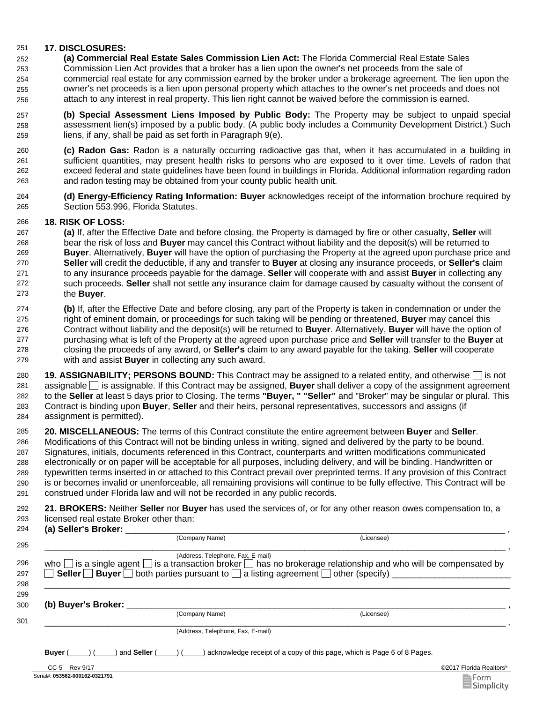#### 251 **17. DISCLOSURES:**

- 252 **(a) Commercial Real Estate Sales Commission Lien Act:** The Florida Commercial Real Estate Sales
- Commission Lien Act provides that a broker has a lien upon the owner's net proceeds from the sale of commercial real estate for any commission earned by the broker under a brokerage agreement. The lien upon the owner's net proceeds is a lien upon personal property which attaches to the owner's net proceeds and does not attach to any interest in real property. This lien right cannot be waived before the commission is earned. 253 254 255 256
- 257 **(b) Special Assessment Liens Imposed by Public Body:** The Property may be subject to unpaid special assessment lien(s) imposed by a public body. (A public body includes a Community Development District.) Such liens, if any, shall be paid as set forth in Paragraph 9(e). 258 259
- **(c) Radon Gas:** Radon is a naturally occurring radioactive gas that, when it has accumulated in a building in sufficient quantities, may present health risks to persons who are exposed to it over time. Levels of radon that exceed federal and state guidelines have been found in buildings in Florida. Additional information regarding radon and radon testing may be obtained from your county public health unit. 261 262 263 260
- 264 **(d) Energy-Efficiency Rating Information: Buyer** acknowledges receipt of the information brochure required by Section 553.996, Florida Statutes.

### 266 **18. RISK OF LOSS:**

- 267 **(a)** If, after the Effective Date and before closing, the Property is damaged by fire or other casualty, **Seller** will bear the risk of loss and **Buyer** may cancel this Contract without liability and the deposit(s) will be returned to **Buyer**. Alternatively, **Buyer** will have the option of purchasing the Property at the agreed upon purchase price and **Seller** will credit the deductible, if any and transfer to **Buyer** at closing any insurance proceeds, or **Seller's** claim to any insurance proceeds payable for the damage. **Seller** will cooperate with and assist **Buyer** in collecting any such proceeds. **Seller** shall not settle any insurance claim for damage caused by casualty without the consent of the **Buyer**. 268 269 270 271 272 273
- 274 **(b)** If, after the Effective Date and before closing, any part of the Property is taken in condemnation or under the right of eminent domain, or proceedings for such taking will be pending or threatened, **Buyer** may cancel this Contract without liability and the deposit(s) will be returned to **Buyer**. Alternatively, **Buyer** will have the option of purchasing what is left of the Property at the agreed upon purchase price and **Seller** will transfer to the **Buyer** at closing the proceeds of any award, or **Seller's** claim to any award payable for the taking. **Seller** will cooperate with and assist **Buyer** in collecting any such award. 275 276 277 278 279
- 280 **19. ASSIGNABILITY; PERSONS BOUND:** This Contract may be assigned to a related entity, and otherwise  $\Box$  is not assignable is assignable. If this Contract may be assigned, **Buyer** shall deliver a copy of the assignment agreement to the **Seller** at least 5 days prior to Closing. The terms **"Buyer, " "Seller"** and "Broker" may be singular or plural. This Contract is binding upon **Buyer**, **Seller** and their heirs, personal representatives, successors and assigns (if assignment is permitted). 281 282 283 284
- 285 **20. MISCELLANEOUS:** The terms of this Contract constitute the entire agreement between **Buyer** and **Seller**. Modifications of this Contract will not be binding unless in writing, signed and delivered by the party to be bound. Signatures, initials, documents referenced in this Contract, counterparts and written modifications communicated electronically or on paper will be acceptable for all purposes, including delivery, and will be binding. Handwritten or typewritten terms inserted in or attached to this Contract prevail over preprinted terms. If any provision of this Contract is or becomes invalid or unenforceable, all remaining provisions will continue to be fully effective. This Contract will be construed under Florida law and will not be recorded in any public records. 286 287 288 289 290 291

| 292 21. BROKERS: Neither Seller nor Buyer has used the services of, or for any other reason owes compensation to, a |
|---------------------------------------------------------------------------------------------------------------------|
| 293 licensed real estate Broker other than:                                                                         |

| 294<br>$\mathbf{a}$<br>-                                         |                                |  |
|------------------------------------------------------------------|--------------------------------|--|
| :∩mnai<br>the contract of the contract of the contract of<br>205 | _icensee <sup>\</sup><br>(Name |  |

| (Address, Telephone, Fax, E-mail)<br>who $\Box$ is a single agent $\Box$ is a transaction broker $\Box$ has no brokerage relationship and who will be compensated by<br>Seller Buyer both parties pursuant to a listing agreement of ther (specify) |                                   |                                                                           |  |
|-----------------------------------------------------------------------------------------------------------------------------------------------------------------------------------------------------------------------------------------------------|-----------------------------------|---------------------------------------------------------------------------|--|
|                                                                                                                                                                                                                                                     |                                   |                                                                           |  |
| (b) Buyer's Broker:                                                                                                                                                                                                                                 |                                   |                                                                           |  |
|                                                                                                                                                                                                                                                     | (Company Name)                    | (Licensee)                                                                |  |
|                                                                                                                                                                                                                                                     | (Address, Telephone, Fax, E-mail) |                                                                           |  |
| and Seller (<br>Buver (                                                                                                                                                                                                                             |                                   | ) acknowledge receipt of a copy of this page, which is Page 6 of 8 Pages. |  |
| CC-5 Rev 9/17                                                                                                                                                                                                                                       |                                   | ©2017 Florida Realtors®                                                   |  |

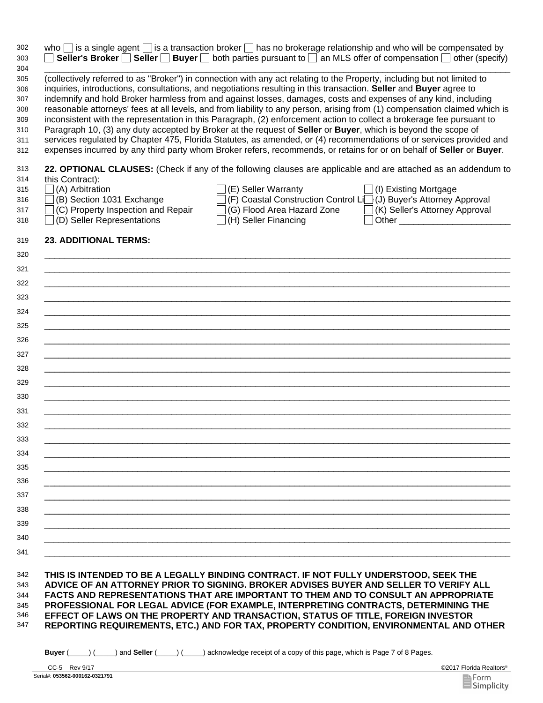| who $\Box$ is a single agent $\Box$ is a transaction broker $\Box$ has no brokerage relationship and who will be compensated by<br><b>Seller's Broker</b> Seller Buyer both parties pursuant to an MLS offer of compensation other (specify) |                                                                                     |                                                                      |
|----------------------------------------------------------------------------------------------------------------------------------------------------------------------------------------------------------------------------------------------|-------------------------------------------------------------------------------------|----------------------------------------------------------------------|
| (collectively referred to as "Broker") in connection with any act relating to the Property, including but not limited to                                                                                                                     |                                                                                     |                                                                      |
| inquiries, introductions, consultations, and negotiations resulting in this transaction. Seller and Buyer agree to                                                                                                                           |                                                                                     |                                                                      |
| indemnify and hold Broker harmless from and against losses, damages, costs and expenses of any kind, including                                                                                                                               |                                                                                     |                                                                      |
| reasonable attorneys' fees at all levels, and from liability to any person, arising from (1) compensation claimed which is                                                                                                                   |                                                                                     |                                                                      |
| inconsistent with the representation in this Paragraph, (2) enforcement action to collect a brokerage fee pursuant to                                                                                                                        |                                                                                     |                                                                      |
| Paragraph 10, (3) any duty accepted by Broker at the request of Seller or Buyer, which is beyond the scope of                                                                                                                                |                                                                                     |                                                                      |
| services regulated by Chapter 475, Florida Statutes, as amended, or (4) recommendations of or services provided and                                                                                                                          |                                                                                     |                                                                      |
| expenses incurred by any third party whom Broker refers, recommends, or retains for or on behalf of Seller or Buyer.                                                                                                                         |                                                                                     |                                                                      |
| 22. OPTIONAL CLAUSES: (Check if any of the following clauses are applicable and are attached as an addendum to                                                                                                                               |                                                                                     |                                                                      |
| this Contract):                                                                                                                                                                                                                              |                                                                                     |                                                                      |
| $\Box$ (A) Arbitration                                                                                                                                                                                                                       | (E) Seller Warranty                                                                 | $\Box$ (I) Existing Mortgage                                         |
| $\Box$ (B) Section 1031 Exchange                                                                                                                                                                                                             |                                                                                     | (F) Coastal Construction Control Li [] (J) Buyer's Attorney Approval |
| $\Box$ (C) Property Inspection and Repair                                                                                                                                                                                                    |                                                                                     | (G) Flood Area Hazard Zone   (K) Seller's Attorney Approval          |
| $\Box$ (D) Seller Representations                                                                                                                                                                                                            | (H) Seller Financing                                                                |                                                                      |
| <b>23. ADDITIONAL TERMS:</b>                                                                                                                                                                                                                 |                                                                                     |                                                                      |
|                                                                                                                                                                                                                                              |                                                                                     |                                                                      |
|                                                                                                                                                                                                                                              |                                                                                     |                                                                      |
|                                                                                                                                                                                                                                              |                                                                                     |                                                                      |
|                                                                                                                                                                                                                                              |                                                                                     |                                                                      |
| <u> 1989 - Johann Stoff, deutscher Stoff, der Stoff, der Stoff, der Stoff, der Stoff, der Stoff, der Stoff, der S</u>                                                                                                                        |                                                                                     |                                                                      |
|                                                                                                                                                                                                                                              |                                                                                     |                                                                      |
| <u> 1999 - Jan James James James James James James James James James James James James James James James James</u>                                                                                                                           |                                                                                     |                                                                      |
| <u> 1989 - Johann Stoff, deutscher Stoff, der Stoff, der Stoff, der Stoff, der Stoff, der Stoff, der Stoff, der S</u>                                                                                                                        |                                                                                     |                                                                      |
|                                                                                                                                                                                                                                              |                                                                                     |                                                                      |
| ,我们的人们就会在这里的人们,我们的人们就会在这里,我们的人们就会在这里,我们的人们就会在这里,我们的人们就会在这里,我们的人们就会在这里,我们的人们就会在这里                                                                                                                                                             |                                                                                     |                                                                      |
|                                                                                                                                                                                                                                              |                                                                                     |                                                                      |
|                                                                                                                                                                                                                                              |                                                                                     |                                                                      |
|                                                                                                                                                                                                                                              |                                                                                     |                                                                      |
|                                                                                                                                                                                                                                              |                                                                                     |                                                                      |
|                                                                                                                                                                                                                                              |                                                                                     |                                                                      |
|                                                                                                                                                                                                                                              |                                                                                     |                                                                      |
|                                                                                                                                                                                                                                              |                                                                                     |                                                                      |
|                                                                                                                                                                                                                                              |                                                                                     |                                                                      |
|                                                                                                                                                                                                                                              |                                                                                     |                                                                      |
|                                                                                                                                                                                                                                              |                                                                                     |                                                                      |
|                                                                                                                                                                                                                                              |                                                                                     |                                                                      |
| THIS IS INTENDED TO BE A LEGALLY BINDING CONTRACT. IF NOT FULLY UNDERSTOOD, SEEK THE<br>ADVICE OF AN ATTORNEY PRIOR TO SIGNING. BROKER ADVISES BUYER AND SELLER TO VERIFY ALL                                                                |                                                                                     |                                                                      |
| FACTS AND REPRESENTATIONS THAT ARE IMPORTANT TO THEM AND TO CONSULT AN APPROPRIATE                                                                                                                                                           |                                                                                     |                                                                      |
|                                                                                                                                                                                                                                              | PROFESSIONAL FOR LEGAL ADVICE (FOR EXAMPLE, INTERPRETING CONTRACTS, DETERMINING THE |                                                                      |

**REPORTING REQUIREMENTS, ETC.) AND FOR TAX, PROPERTY CONDITION, ENVIRONMENTAL AND OTHER** 347

**Buyer** (\_\_\_\_\_) (\_\_\_\_\_) and **Seller** (\_\_\_\_\_) (\_\_\_\_\_) acknowledge receipt of a copy of this page, which is Page 7 of 8 Pages.

Serial#: **053562-000162-0321791** CC-5 Rev 9/17